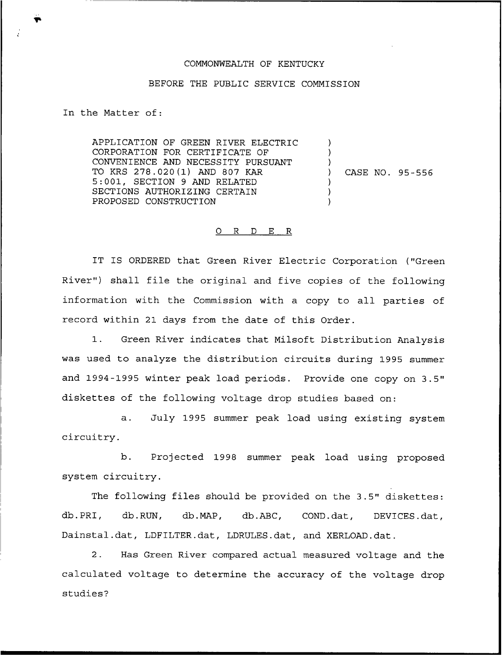## COMMONWEALTH OF KENTUCKY

## BEFORE THE PUBLIC SERVICE COMMISSION

In the Matter of:

APPLICATION OF GREEN RIVER ELECTRIC CORPORATION FOR CERTIFICATE OF CONVENIENCE AND NECESSITY PURSUANT TO KRS 278.020(1) AND 807 KAR 5:001, SECTION <sup>9</sup> AND RELATED SECTIONS AUTHORIZING CERTAIN PROPOSED CONSTRUCTION

) CASE NO. 95-556

) ) )<br>)

) ) )

## 0 R <sup>D</sup> E R

IT IS ORDERED that Green River Electric Corporation ("Green River") shall file the original and five copies of the following information with the Commission with a copy to all parties of record within 21 days from the date of this Order.

1. Green River indicates that Milsoft Distribution Analysis was used to analyze the distribution circuits during 1995 summer and 1994-1995 winter peak load periods. Provide one copy on 3.5" diskettes of the following voltage drop studies based on:

a. July 1995 summer peak load using existing system circuitry.

b. Projected 1998 summer peak load using proposed system circuitry.

The following files should be provided on the 3.5" diskettes: db.PRI, db.RUN, db.MAP, db.ABC, COND.dat, DEVICES.dat, Dainstal.dat, LDFILTER.dat, LDRULES.dat, and XERLOAD.dat.

2. Has Green River compared actual measured voltage and the calculated voltage to determine the accuracy of the voltage drop studies?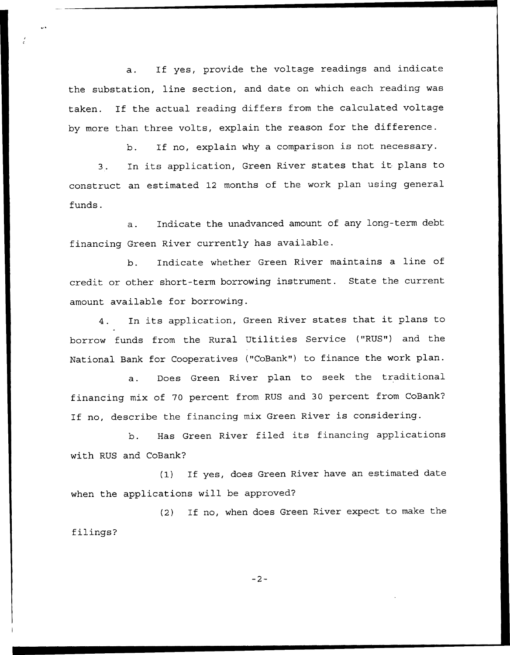a. If yes, provide the voltage readings and indicate the substation, line section, and date on which each reading was taken. If the actual reading differs from the calculated voltage by more than three volts, explain the reason for the difference.

> If no, explain why <sup>a</sup> comparison is not necessary. b.

3. In its application, Green River states that it plans to construct an estimated 12 months of the work plan using general funds.

a. Indicate the unadvanced amount of any long-term debt financing Green River currently has available.

b. Indicate whether Green River maintains a line of credit or other short-term borrowing instrument. State the current amount available for borrowing.

4. In its application, Green River states that it plans to borrow funds from the Rural Utilities Service ("RUS") and the National Bank for Cooperatives ("CoBank") to finance the work plan.

a. Does Green River plan to seek the traditional financing mix of 70 percent from RUS and 30 percent from CoBank'? If no, describe the financing mix Green River is considering.

b. Has Green River filed its financing applications with RUS and CoBank'?

(1) If yes, does Green River have an estimated date when the applications will be approved?

(2) If no, when does Green River expect to make the filings?

 $-2-$